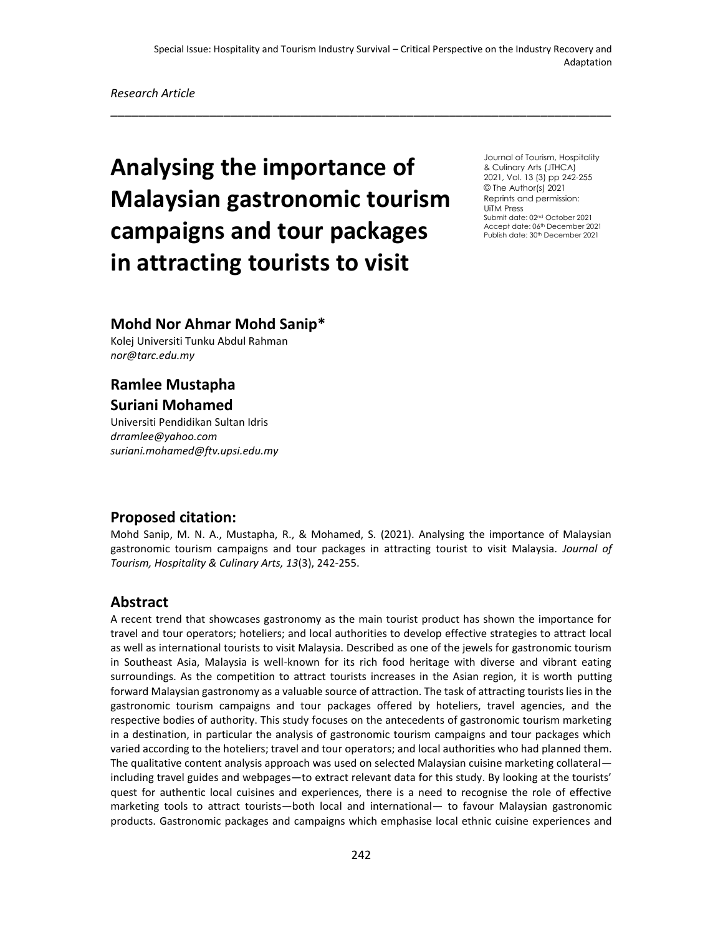\_\_\_\_\_\_\_\_\_\_\_\_\_\_\_\_\_\_\_\_\_\_\_\_\_\_\_\_\_\_\_\_\_\_\_\_\_\_\_\_\_\_\_\_\_\_\_\_\_\_\_\_\_\_\_\_\_\_\_\_\_\_\_\_\_\_\_\_\_\_\_

# **Analysing the importance of Malaysian gastronomic tourism campaigns and tour packages in attracting tourists to visit**

Journal of Tourism, Hospitality & Culinary Arts (JTHCA) 2021, Vol. 13 (3) pp 242-255 © The Author(s) 2021 Reprints and permission: UiTM Press Submit date: 02nd October 2021 Accept date: 06<sup>th</sup> December 2021 Publish date: 30<sup>th</sup> December 2021

# **Mohd Nor Ahmar Mohd Sanip\***

Kolej Universiti Tunku Abdul Rahman *nor@tarc.edu.my*

## **Ramlee Mustapha Suriani Mohamed**

Universiti Pendidikan Sultan Idris *drramlee@yahoo.com suriani.mohamed@ftv.upsi.edu.my*

#### **Proposed citation:**

Mohd Sanip, M. N. A., Mustapha, R., & Mohamed, S. (2021). Analysing the importance of Malaysian gastronomic tourism campaigns and tour packages in attracting tourist to visit Malaysia. *Journal of Tourism, Hospitality & Culinary Arts, 13*(3), 242-255.

#### **Abstract**

A recent trend that showcases gastronomy as the main tourist product has shown the importance for travel and tour operators; hoteliers; and local authorities to develop effective strategies to attract local as well as international tourists to visit Malaysia. Described as one of the jewels for gastronomic tourism in Southeast Asia, Malaysia is well-known for its rich food heritage with diverse and vibrant eating surroundings. As the competition to attract tourists increases in the Asian region, it is worth putting forward Malaysian gastronomy as a valuable source of attraction. The task of attracting tourists lies in the gastronomic tourism campaigns and tour packages offered by hoteliers, travel agencies, and the respective bodies of authority. This study focuses on the antecedents of gastronomic tourism marketing in a destination, in particular the analysis of gastronomic tourism campaigns and tour packages which varied according to the hoteliers; travel and tour operators; and local authorities who had planned them. The qualitative content analysis approach was used on selected Malaysian cuisine marketing collateral including travel guides and webpages—to extract relevant data for this study. By looking at the tourists' quest for authentic local cuisines and experiences, there is a need to recognise the role of effective marketing tools to attract tourists—both local and international— to favour Malaysian gastronomic products. Gastronomic packages and campaigns which emphasise local ethnic cuisine experiences and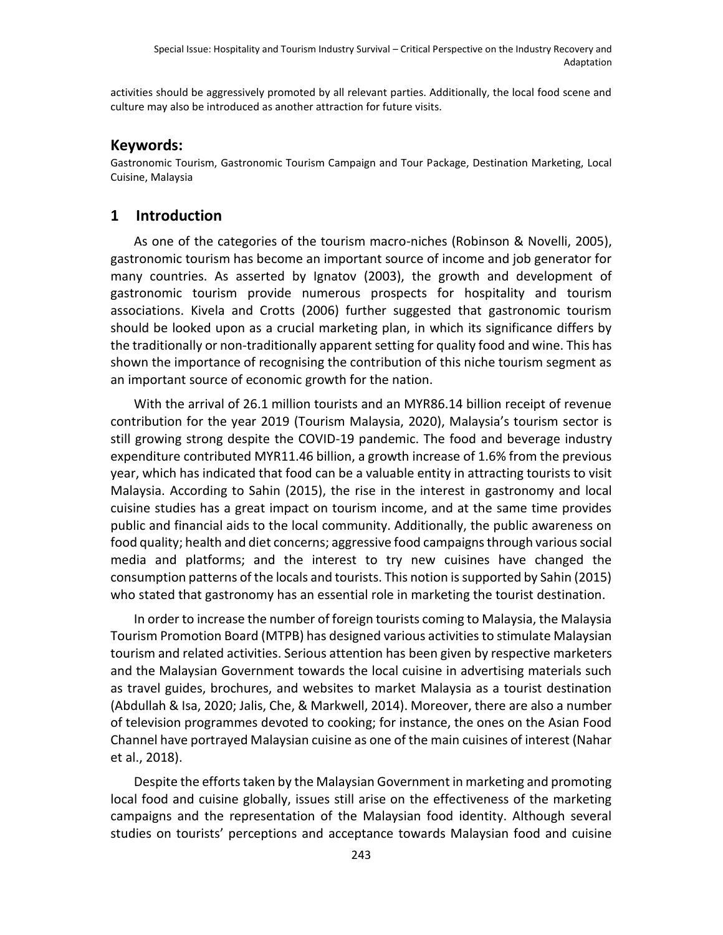activities should be aggressively promoted by all relevant parties. Additionally, the local food scene and culture may also be introduced as another attraction for future visits.

#### **Keywords:**

Gastronomic Tourism, Gastronomic Tourism Campaign and Tour Package, Destination Marketing, Local Cuisine, Malaysia

### **1 Introduction**

As one of the categories of the tourism macro-niches (Robinson & Novelli, 2005), gastronomic tourism has become an important source of income and job generator for many countries. As asserted by Ignatov (2003), the growth and development of gastronomic tourism provide numerous prospects for hospitality and tourism associations. Kivela and Crotts (2006) further suggested that gastronomic tourism should be looked upon as a crucial marketing plan, in which its significance differs by the traditionally or non-traditionally apparent setting for quality food and wine. This has shown the importance of recognising the contribution of this niche tourism segment as an important source of economic growth for the nation.

With the arrival of 26.1 million tourists and an MYR86.14 billion receipt of revenue contribution for the year 2019 (Tourism Malaysia, 2020), Malaysia's tourism sector is still growing strong despite the COVID-19 pandemic. The food and beverage industry expenditure contributed MYR11.46 billion, a growth increase of 1.6% from the previous year, which has indicated that food can be a valuable entity in attracting tourists to visit Malaysia. According to Sahin (2015), the rise in the interest in gastronomy and local cuisine studies has a great impact on tourism income, and at the same time provides public and financial aids to the local community. Additionally, the public awareness on food quality; health and diet concerns; aggressive food campaigns through various social media and platforms; and the interest to try new cuisines have changed the consumption patterns of the locals and tourists. This notion is supported by Sahin (2015) who stated that gastronomy has an essential role in marketing the tourist destination.

In order to increase the number of foreign tourists coming to Malaysia, the Malaysia Tourism Promotion Board (MTPB) has designed various activities to stimulate Malaysian tourism and related activities. Serious attention has been given by respective marketers and the Malaysian Government towards the local cuisine in advertising materials such as travel guides, brochures, and websites to market Malaysia as a tourist destination (Abdullah & Isa, 2020; Jalis, Che, & Markwell, 2014). Moreover, there are also a number of television programmes devoted to cooking; for instance, the ones on the Asian Food Channel have portrayed Malaysian cuisine as one of the main cuisines of interest (Nahar et al., 2018).

Despite the efforts taken by the Malaysian Government in marketing and promoting local food and cuisine globally, issues still arise on the effectiveness of the marketing campaigns and the representation of the Malaysian food identity. Although several studies on tourists' perceptions and acceptance towards Malaysian food and cuisine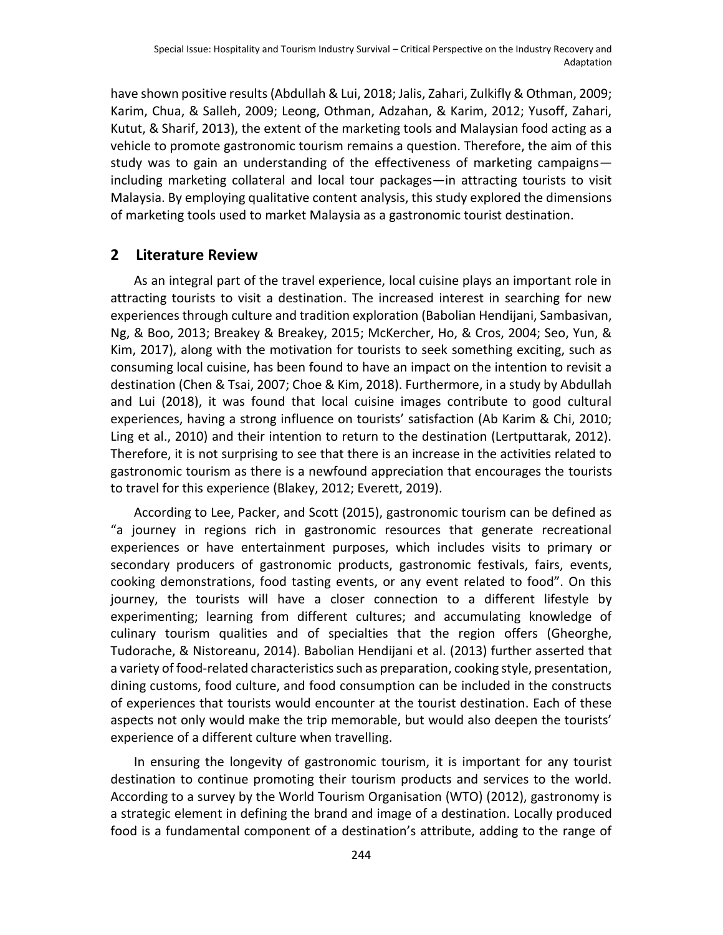have shown positive results (Abdullah & Lui, 2018; Jalis, Zahari, Zulkifly & Othman, 2009; Karim, Chua, & Salleh, 2009; Leong, Othman, Adzahan, & Karim, 2012; Yusoff, Zahari, Kutut, & Sharif, 2013), the extent of the marketing tools and Malaysian food acting as a vehicle to promote gastronomic tourism remains a question. Therefore, the aim of this study was to gain an understanding of the effectiveness of marketing campaigns including marketing collateral and local tour packages—in attracting tourists to visit Malaysia. By employing qualitative content analysis, this study explored the dimensions of marketing tools used to market Malaysia as a gastronomic tourist destination.

#### **2 Literature Review**

As an integral part of the travel experience, local cuisine plays an important role in attracting tourists to visit a destination. The increased interest in searching for new experiences through culture and tradition exploration (Babolian Hendijani, Sambasivan, Ng, & Boo, 2013; Breakey & Breakey, 2015; McKercher, Ho, & Cros, 2004; Seo, Yun, & Kim, 2017), along with the motivation for tourists to seek something exciting, such as consuming local cuisine, has been found to have an impact on the intention to revisit a destination (Chen & Tsai, 2007; Choe & Kim, 2018). Furthermore, in a study by Abdullah and Lui (2018), it was found that local cuisine images contribute to good cultural experiences, having a strong influence on tourists' satisfaction (Ab Karim & Chi, 2010; Ling et al., 2010) and their intention to return to the destination (Lertputtarak, 2012). Therefore, it is not surprising to see that there is an increase in the activities related to gastronomic tourism as there is a newfound appreciation that encourages the tourists to travel for this experience (Blakey, 2012; Everett, 2019).

According to Lee, Packer, and Scott (2015), gastronomic tourism can be defined as "a journey in regions rich in gastronomic resources that generate recreational experiences or have entertainment purposes, which includes visits to primary or secondary producers of gastronomic products, gastronomic festivals, fairs, events, cooking demonstrations, food tasting events, or any event related to food". On this journey, the tourists will have a closer connection to a different lifestyle by experimenting; learning from different cultures; and accumulating knowledge of culinary tourism qualities and of specialties that the region offers (Gheorghe, Tudorache, & Nistoreanu, 2014). Babolian Hendijani et al. (2013) further asserted that a variety of food-related characteristics such as preparation, cooking style, presentation, dining customs, food culture, and food consumption can be included in the constructs of experiences that tourists would encounter at the tourist destination. Each of these aspects not only would make the trip memorable, but would also deepen the tourists' experience of a different culture when travelling.

In ensuring the longevity of gastronomic tourism, it is important for any tourist destination to continue promoting their tourism products and services to the world. According to a survey by the World Tourism Organisation (WTO) (2012), gastronomy is a strategic element in defining the brand and image of a destination. Locally produced food is a fundamental component of a destination's attribute, adding to the range of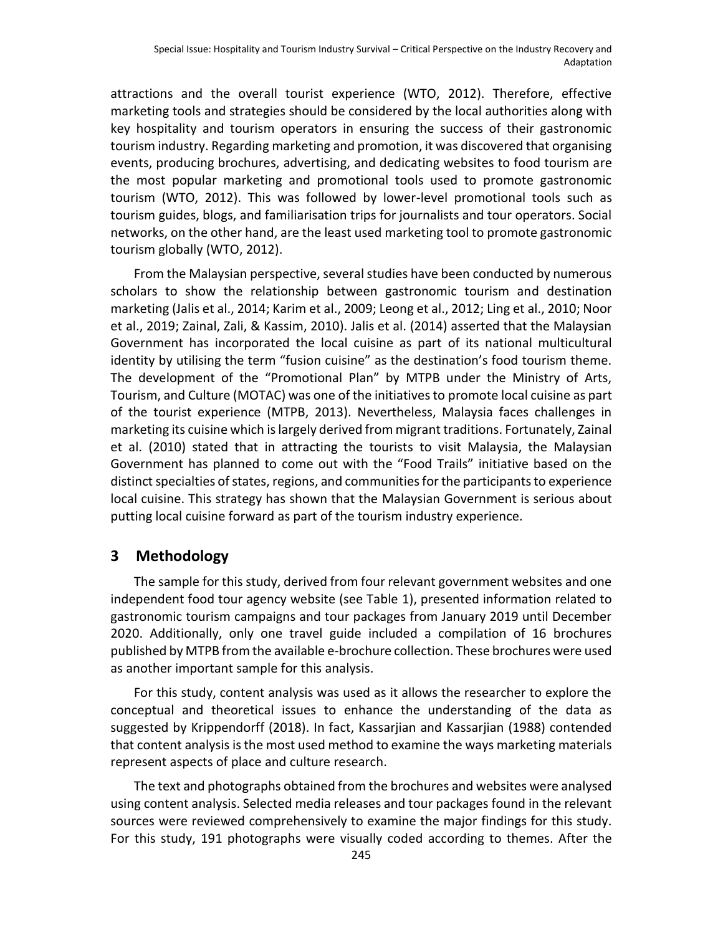attractions and the overall tourist experience (WTO, 2012). Therefore, effective marketing tools and strategies should be considered by the local authorities along with key hospitality and tourism operators in ensuring the success of their gastronomic tourism industry. Regarding marketing and promotion, it was discovered that organising events, producing brochures, advertising, and dedicating websites to food tourism are the most popular marketing and promotional tools used to promote gastronomic tourism (WTO, 2012). This was followed by lower-level promotional tools such as tourism guides, blogs, and familiarisation trips for journalists and tour operators. Social networks, on the other hand, are the least used marketing tool to promote gastronomic tourism globally (WTO, 2012).

From the Malaysian perspective, several studies have been conducted by numerous scholars to show the relationship between gastronomic tourism and destination marketing (Jalis et al., 2014; Karim et al., 2009; Leong et al., 2012; Ling et al., 2010; Noor et al., 2019; Zainal, Zali, & Kassim, 2010). Jalis et al. (2014) asserted that the Malaysian Government has incorporated the local cuisine as part of its national multicultural identity by utilising the term "fusion cuisine" as the destination's food tourism theme. The development of the "Promotional Plan" by MTPB under the Ministry of Arts, Tourism, and Culture (MOTAC) was one of the initiatives to promote local cuisine as part of the tourist experience (MTPB, 2013). Nevertheless, Malaysia faces challenges in marketing its cuisine which is largely derived from migrant traditions. Fortunately, Zainal et al. (2010) stated that in attracting the tourists to visit Malaysia, the Malaysian Government has planned to come out with the "Food Trails" initiative based on the distinct specialties of states, regions, and communities for the participants to experience local cuisine. This strategy has shown that the Malaysian Government is serious about putting local cuisine forward as part of the tourism industry experience.

## **3 Methodology**

The sample for this study, derived from four relevant government websites and one independent food tour agency website (see Table 1), presented information related to gastronomic tourism campaigns and tour packages from January 2019 until December 2020. Additionally, only one travel guide included a compilation of 16 brochures published by MTPB from the available e-brochure collection. These brochures were used as another important sample for this analysis.

For this study, content analysis was used as it allows the researcher to explore the conceptual and theoretical issues to enhance the understanding of the data as suggested by Krippendorff (2018). In fact, Kassarjian and Kassarjian (1988) contended that content analysis is the most used method to examine the ways marketing materials represent aspects of place and culture research.

The text and photographs obtained from the brochures and websites were analysed using content analysis. Selected media releases and tour packages found in the relevant sources were reviewed comprehensively to examine the major findings for this study. For this study, 191 photographs were visually coded according to themes. After the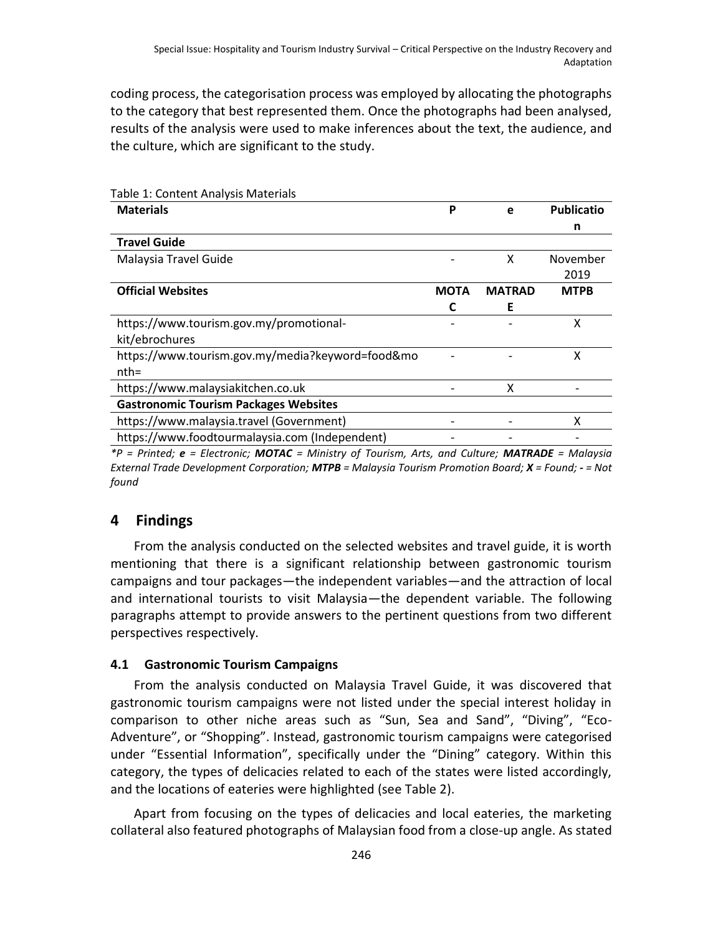coding process, the categorisation process was employed by allocating the photographs to the category that best represented them. Once the photographs had been analysed, results of the analysis were used to make inferences about the text, the audience, and the culture, which are significant to the study.

| Table 1. Content Analysis Materials              |             |               |                   |
|--------------------------------------------------|-------------|---------------|-------------------|
| <b>Materials</b>                                 | Ρ           | e             | <b>Publicatio</b> |
|                                                  |             |               | n                 |
| <b>Travel Guide</b>                              |             |               |                   |
| Malaysia Travel Guide                            |             | x             | November          |
|                                                  |             |               | 2019              |
| <b>Official Websites</b>                         | <b>MOTA</b> | <b>MATRAD</b> | <b>MTPB</b>       |
|                                                  |             | Е             |                   |
| https://www.tourism.gov.my/promotional-          |             |               | χ                 |
| kit/ebrochures                                   |             |               |                   |
| https://www.tourism.gov.my/media?keyword=food&mo |             |               | χ                 |
| $nth=$                                           |             |               |                   |
| https://www.malaysiakitchen.co.uk                |             | x             |                   |
| <b>Gastronomic Tourism Packages Websites</b>     |             |               |                   |
| https://www.malaysia.travel (Government)         |             |               | x                 |
| https://www.foodtourmalaysia.com (Independent)   |             |               |                   |
|                                                  |             |               |                   |

Table 1: Content Analysis Materials

*\*P = Printed; e = Electronic; MOTAC = Ministry of Tourism, Arts, and Culture; MATRADE = Malaysia External Trade Development Corporation; MTPB = Malaysia Tourism Promotion Board; X = Found; - = Not found*

# **4 Findings**

From the analysis conducted on the selected websites and travel guide, it is worth mentioning that there is a significant relationship between gastronomic tourism campaigns and tour packages—the independent variables—and the attraction of local and international tourists to visit Malaysia—the dependent variable. The following paragraphs attempt to provide answers to the pertinent questions from two different perspectives respectively.

# **4.1 Gastronomic Tourism Campaigns**

From the analysis conducted on Malaysia Travel Guide, it was discovered that gastronomic tourism campaigns were not listed under the special interest holiday in comparison to other niche areas such as "Sun, Sea and Sand", "Diving", "Eco-Adventure", or "Shopping". Instead, gastronomic tourism campaigns were categorised under "Essential Information", specifically under the "Dining" category. Within this category, the types of delicacies related to each of the states were listed accordingly, and the locations of eateries were highlighted (see Table 2).

Apart from focusing on the types of delicacies and local eateries, the marketing collateral also featured photographs of Malaysian food from a close-up angle. As stated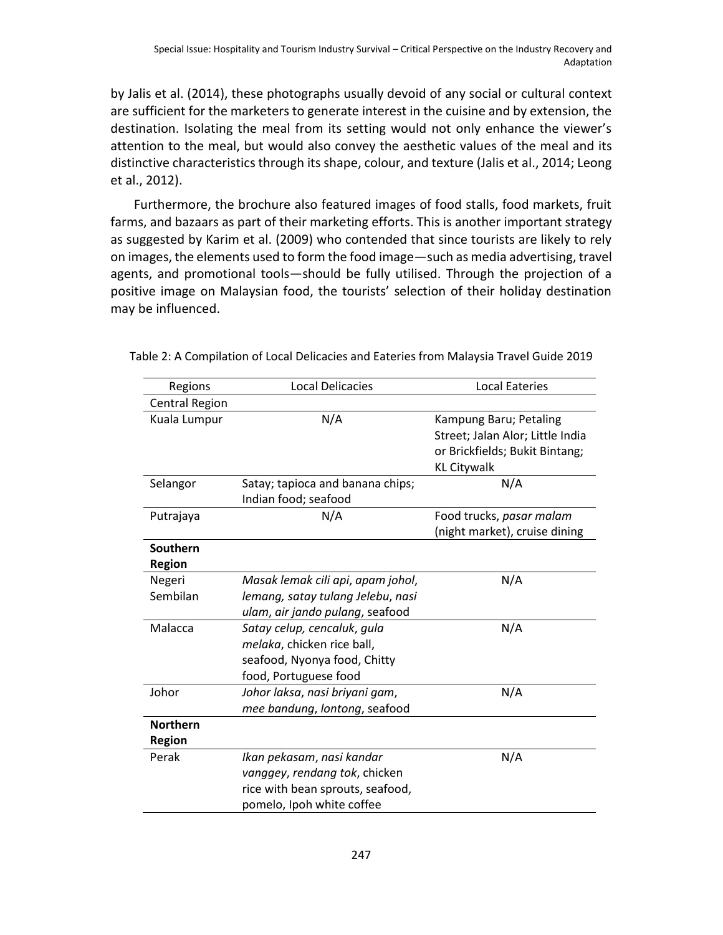by Jalis et al. (2014), these photographs usually devoid of any social or cultural context are sufficient for the marketers to generate interest in the cuisine and by extension, the destination. Isolating the meal from its setting would not only enhance the viewer's attention to the meal, but would also convey the aesthetic values of the meal and its distinctive characteristics through its shape, colour, and texture (Jalis et al., 2014; Leong et al., 2012).

Furthermore, the brochure also featured images of food stalls, food markets, fruit farms, and bazaars as part of their marketing efforts. This is another important strategy as suggested by Karim et al. (2009) who contended that since tourists are likely to rely on images, the elements used to form the food image—such as media advertising, travel agents, and promotional tools—should be fully utilised. Through the projection of a positive image on Malaysian food, the tourists' selection of their holiday destination may be influenced.

| Regions               | <b>Local Delicacies</b>           | <b>Local Eateries</b>            |  |
|-----------------------|-----------------------------------|----------------------------------|--|
| <b>Central Region</b> |                                   |                                  |  |
| Kuala Lumpur          | N/A                               | Kampung Baru; Petaling           |  |
|                       |                                   | Street; Jalan Alor; Little India |  |
|                       |                                   | or Brickfields; Bukit Bintang;   |  |
|                       |                                   | <b>KL Citywalk</b>               |  |
| Selangor              | Satay; tapioca and banana chips;  | N/A                              |  |
|                       | Indian food; seafood              |                                  |  |
| Putrajaya             | N/A                               | Food trucks, pasar malam         |  |
|                       |                                   | (night market), cruise dining    |  |
| Southern              |                                   |                                  |  |
| <b>Region</b>         |                                   |                                  |  |
| Negeri                | Masak lemak cili api, apam johol, | N/A                              |  |
| Sembilan              | lemang, satay tulang Jelebu, nasi |                                  |  |
|                       | ulam, air jando pulang, seafood   |                                  |  |
| Malacca               | Satay celup, cencaluk, gula       | N/A                              |  |
|                       | melaka, chicken rice ball,        |                                  |  |
|                       | seafood, Nyonya food, Chitty      |                                  |  |
|                       | food, Portuguese food             |                                  |  |
| Johor                 | Johor laksa, nasi briyani gam,    | N/A                              |  |
|                       | mee bandung, lontong, seafood     |                                  |  |
| <b>Northern</b>       |                                   |                                  |  |
| <b>Region</b>         |                                   |                                  |  |
| Perak                 | Ikan pekasam, nasi kandar         | N/A                              |  |
|                       | vanggey, rendang tok, chicken     |                                  |  |
|                       | rice with bean sprouts, seafood,  |                                  |  |
|                       | pomelo, Ipoh white coffee         |                                  |  |

| Table 2: A Compilation of Local Delicacies and Eateries from Malaysia Travel Guide 2019 |  |  |
|-----------------------------------------------------------------------------------------|--|--|
|-----------------------------------------------------------------------------------------|--|--|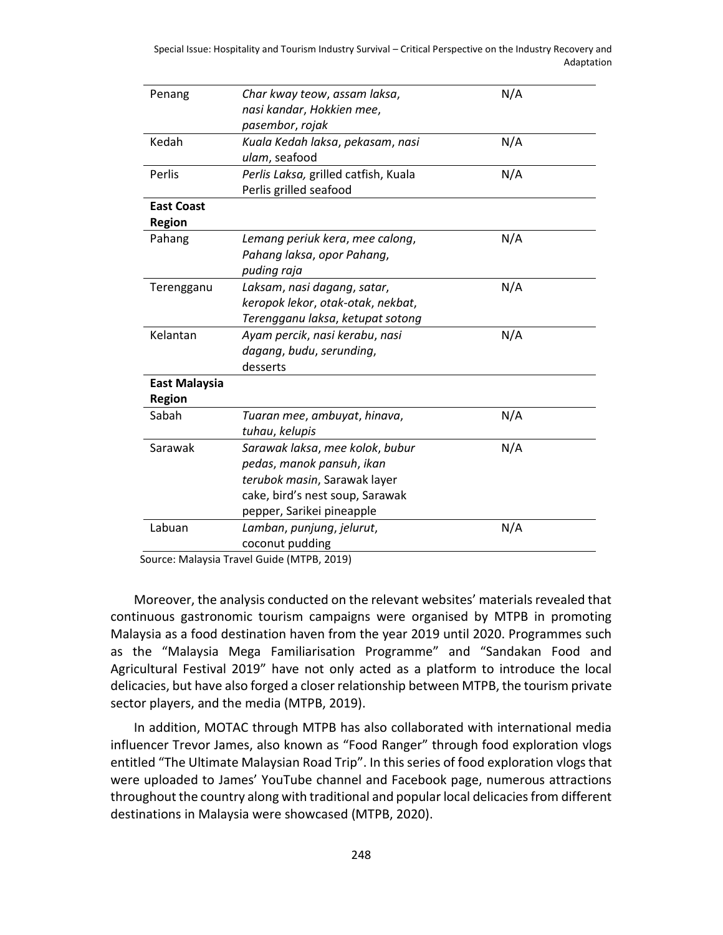| Penang               | Char kway teow, assam laksa,         | N/A |
|----------------------|--------------------------------------|-----|
|                      | nasi kandar, Hokkien mee,            |     |
|                      | pasembor, rojak                      |     |
| Kedah                | Kuala Kedah laksa, pekasam, nasi     | N/A |
|                      | ulam, seafood                        |     |
| Perlis               | Perlis Laksa, grilled catfish, Kuala | N/A |
|                      | Perlis grilled seafood               |     |
| <b>East Coast</b>    |                                      |     |
| <b>Region</b>        |                                      |     |
| Pahang               | Lemang periuk kera, mee calong,      | N/A |
|                      | Pahang laksa, opor Pahang,           |     |
|                      | puding raja                          |     |
| Terengganu           | Laksam, nasi dagang, satar,          | N/A |
|                      | keropok lekor, otak-otak, nekbat,    |     |
|                      | Terengganu laksa, ketupat sotong     |     |
| Kelantan             | Ayam percik, nasi kerabu, nasi       | N/A |
|                      | dagang, budu, serunding,             |     |
|                      | desserts                             |     |
| <b>East Malaysia</b> |                                      |     |
| <b>Region</b>        |                                      |     |
| Sabah                | Tuaran mee, ambuyat, hinava,         | N/A |
|                      | tuhau, kelupis                       |     |
| Sarawak              | Sarawak laksa, mee kolok, bubur      | N/A |
|                      | pedas, manok pansuh, ikan            |     |
|                      | terubok masin, Sarawak layer         |     |
|                      | cake, bird's nest soup, Sarawak      |     |
|                      | pepper, Sarikei pineapple            |     |
| Labuan               | Lamban, punjung, jelurut,            | N/A |
|                      | coconut pudding                      |     |
|                      |                                      |     |

Source: Malaysia Travel Guide (MTPB, 2019)

Moreover, the analysis conducted on the relevant websites' materials revealed that continuous gastronomic tourism campaigns were organised by MTPB in promoting Malaysia as a food destination haven from the year 2019 until 2020. Programmes such as the "Malaysia Mega Familiarisation Programme" and "Sandakan Food and Agricultural Festival 2019" have not only acted as a platform to introduce the local delicacies, but have also forged a closer relationship between MTPB, the tourism private sector players, and the media (MTPB, 2019).

In addition, MOTAC through MTPB has also collaborated with international media influencer Trevor James, also known as "Food Ranger" through food exploration vlogs entitled "The Ultimate Malaysian Road Trip". In this series of food exploration vlogs that were uploaded to James' YouTube channel and Facebook page, numerous attractions throughout the country along with traditional and popular local delicacies from different destinations in Malaysia were showcased (MTPB, 2020).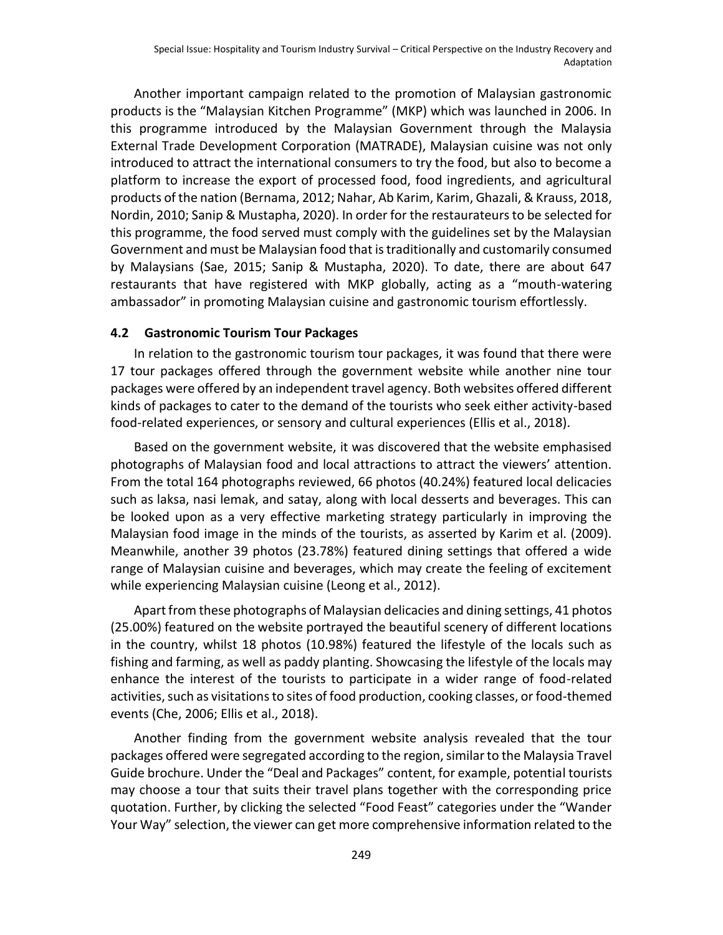Another important campaign related to the promotion of Malaysian gastronomic products is the "Malaysian Kitchen Programme" (MKP) which was launched in 2006. In this programme introduced by the Malaysian Government through the Malaysia External Trade Development Corporation (MATRADE), Malaysian cuisine was not only introduced to attract the international consumers to try the food, but also to become a platform to increase the export of processed food, food ingredients, and agricultural products of the nation (Bernama, 2012; Nahar, Ab Karim, Karim, Ghazali, & Krauss, 2018, Nordin, 2010; Sanip & Mustapha, 2020). In order for the restaurateurs to be selected for this programme, the food served must comply with the guidelines set by the Malaysian Government and must be Malaysian food that is traditionally and customarily consumed by Malaysians (Sae, 2015; Sanip & Mustapha, 2020). To date, there are about 647 restaurants that have registered with MKP globally, acting as a "mouth-watering ambassador" in promoting Malaysian cuisine and gastronomic tourism effortlessly.

#### **4.2 Gastronomic Tourism Tour Packages**

In relation to the gastronomic tourism tour packages, it was found that there were 17 tour packages offered through the government website while another nine tour packages were offered by an independent travel agency. Both websites offered different kinds of packages to cater to the demand of the tourists who seek either activity-based food-related experiences, or sensory and cultural experiences (Ellis et al., 2018).

Based on the government website, it was discovered that the website emphasised photographs of Malaysian food and local attractions to attract the viewers' attention. From the total 164 photographs reviewed, 66 photos (40.24%) featured local delicacies such as laksa, nasi lemak, and satay, along with local desserts and beverages. This can be looked upon as a very effective marketing strategy particularly in improving the Malaysian food image in the minds of the tourists, as asserted by Karim et al. (2009). Meanwhile, another 39 photos (23.78%) featured dining settings that offered a wide range of Malaysian cuisine and beverages, which may create the feeling of excitement while experiencing Malaysian cuisine (Leong et al., 2012).

Apart from these photographs of Malaysian delicacies and dining settings, 41 photos (25.00%) featured on the website portrayed the beautiful scenery of different locations in the country, whilst 18 photos (10.98%) featured the lifestyle of the locals such as fishing and farming, as well as paddy planting. Showcasing the lifestyle of the locals may enhance the interest of the tourists to participate in a wider range of food-related activities, such as visitations to sites of food production, cooking classes, or food-themed events (Che, 2006; Ellis et al., 2018).

Another finding from the government website analysis revealed that the tour packages offered were segregated according to the region, similar to the Malaysia Travel Guide brochure. Under the "Deal and Packages" content, for example, potential tourists may choose a tour that suits their travel plans together with the corresponding price quotation. Further, by clicking the selected "Food Feast" categories under the "Wander Your Way" selection, the viewer can get more comprehensive information related to the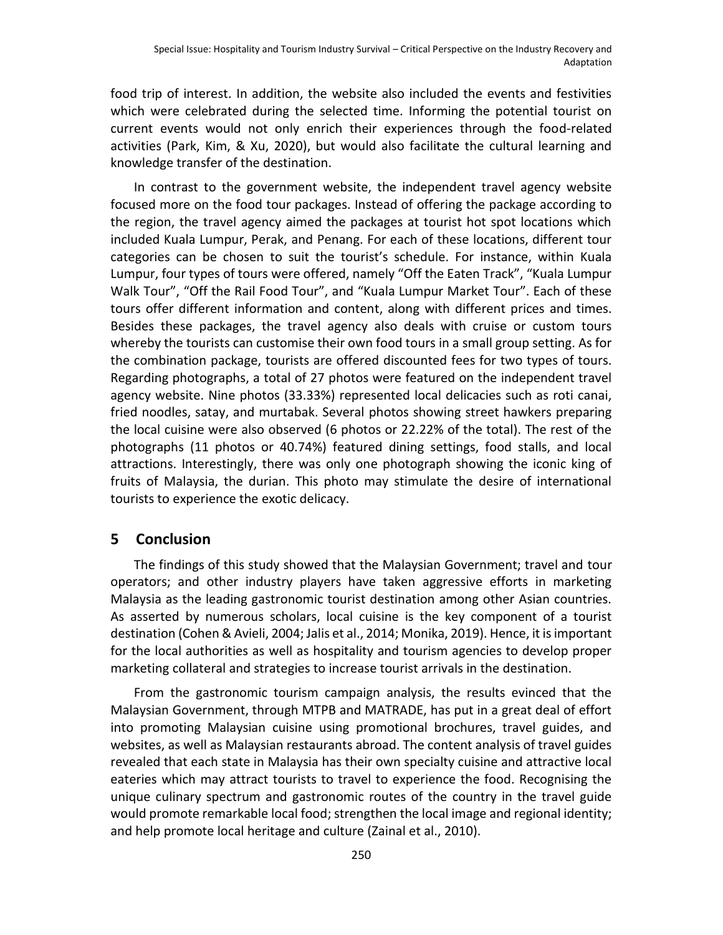food trip of interest. In addition, the website also included the events and festivities which were celebrated during the selected time. Informing the potential tourist on current events would not only enrich their experiences through the food-related activities (Park, Kim, & Xu, 2020), but would also facilitate the cultural learning and knowledge transfer of the destination.

In contrast to the government website, the independent travel agency website focused more on the food tour packages. Instead of offering the package according to the region, the travel agency aimed the packages at tourist hot spot locations which included Kuala Lumpur, Perak, and Penang. For each of these locations, different tour categories can be chosen to suit the tourist's schedule. For instance, within Kuala Lumpur, four types of tours were offered, namely "Off the Eaten Track", "Kuala Lumpur Walk Tour", "Off the Rail Food Tour", and "Kuala Lumpur Market Tour". Each of these tours offer different information and content, along with different prices and times. Besides these packages, the travel agency also deals with cruise or custom tours whereby the tourists can customise their own food tours in a small group setting. As for the combination package, tourists are offered discounted fees for two types of tours. Regarding photographs, a total of 27 photos were featured on the independent travel agency website. Nine photos (33.33%) represented local delicacies such as roti canai, fried noodles, satay, and murtabak. Several photos showing street hawkers preparing the local cuisine were also observed (6 photos or 22.22% of the total). The rest of the photographs (11 photos or 40.74%) featured dining settings, food stalls, and local attractions. Interestingly, there was only one photograph showing the iconic king of fruits of Malaysia, the durian. This photo may stimulate the desire of international tourists to experience the exotic delicacy.

# **5 Conclusion**

The findings of this study showed that the Malaysian Government; travel and tour operators; and other industry players have taken aggressive efforts in marketing Malaysia as the leading gastronomic tourist destination among other Asian countries. As asserted by numerous scholars, local cuisine is the key component of a tourist destination (Cohen & Avieli, 2004; Jalis et al., 2014; Monika, 2019). Hence, it is important for the local authorities as well as hospitality and tourism agencies to develop proper marketing collateral and strategies to increase tourist arrivals in the destination.

From the gastronomic tourism campaign analysis, the results evinced that the Malaysian Government, through MTPB and MATRADE, has put in a great deal of effort into promoting Malaysian cuisine using promotional brochures, travel guides, and websites, as well as Malaysian restaurants abroad. The content analysis of travel guides revealed that each state in Malaysia has their own specialty cuisine and attractive local eateries which may attract tourists to travel to experience the food. Recognising the unique culinary spectrum and gastronomic routes of the country in the travel guide would promote remarkable local food; strengthen the local image and regional identity; and help promote local heritage and culture (Zainal et al., 2010).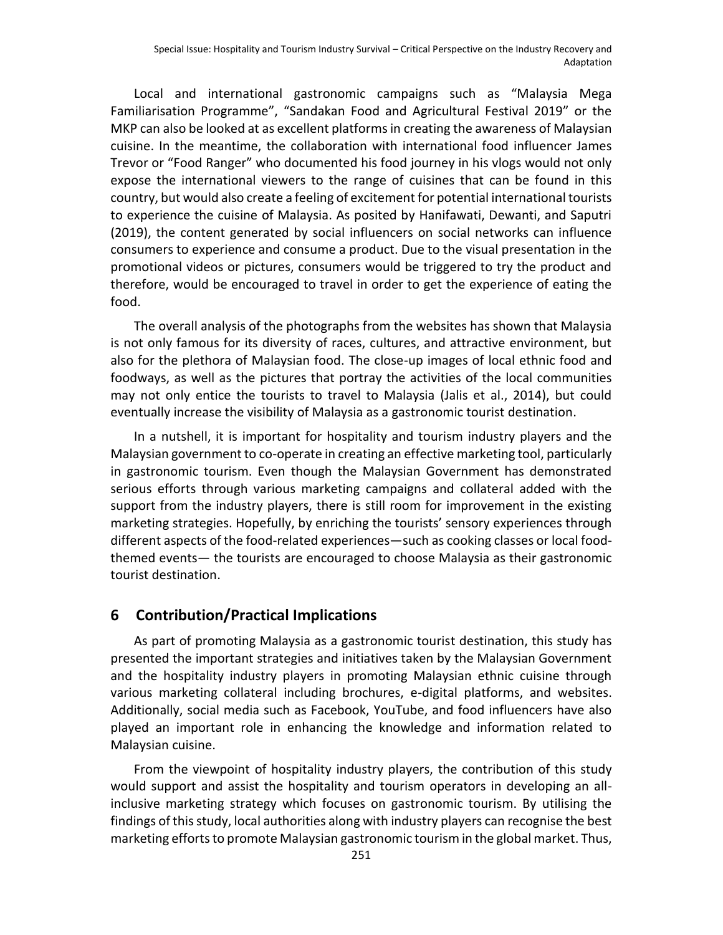Local and international gastronomic campaigns such as "Malaysia Mega Familiarisation Programme", "Sandakan Food and Agricultural Festival 2019" or the MKP can also be looked at as excellent platforms in creating the awareness of Malaysian cuisine. In the meantime, the collaboration with international food influencer James Trevor or "Food Ranger" who documented his food journey in his vlogs would not only expose the international viewers to the range of cuisines that can be found in this country, but would also create a feeling of excitement for potential international tourists to experience the cuisine of Malaysia. As posited by Hanifawati, Dewanti, and Saputri (2019), the content generated by social influencers on social networks can influence consumers to experience and consume a product. Due to the visual presentation in the promotional videos or pictures, consumers would be triggered to try the product and therefore, would be encouraged to travel in order to get the experience of eating the food.

The overall analysis of the photographs from the websites has shown that Malaysia is not only famous for its diversity of races, cultures, and attractive environment, but also for the plethora of Malaysian food. The close-up images of local ethnic food and foodways, as well as the pictures that portray the activities of the local communities may not only entice the tourists to travel to Malaysia (Jalis et al., 2014), but could eventually increase the visibility of Malaysia as a gastronomic tourist destination.

In a nutshell, it is important for hospitality and tourism industry players and the Malaysian government to co-operate in creating an effective marketing tool, particularly in gastronomic tourism. Even though the Malaysian Government has demonstrated serious efforts through various marketing campaigns and collateral added with the support from the industry players, there is still room for improvement in the existing marketing strategies. Hopefully, by enriching the tourists' sensory experiences through different aspects of the food-related experiences—such as cooking classes or local foodthemed events— the tourists are encouraged to choose Malaysia as their gastronomic tourist destination.

#### **6 Contribution/Practical Implications**

As part of promoting Malaysia as a gastronomic tourist destination, this study has presented the important strategies and initiatives taken by the Malaysian Government and the hospitality industry players in promoting Malaysian ethnic cuisine through various marketing collateral including brochures, e-digital platforms, and websites. Additionally, social media such as Facebook, YouTube, and food influencers have also played an important role in enhancing the knowledge and information related to Malaysian cuisine.

From the viewpoint of hospitality industry players, the contribution of this study would support and assist the hospitality and tourism operators in developing an allinclusive marketing strategy which focuses on gastronomic tourism. By utilising the findings of this study, local authorities along with industry players can recognise the best marketing efforts to promote Malaysian gastronomic tourism in the global market. Thus,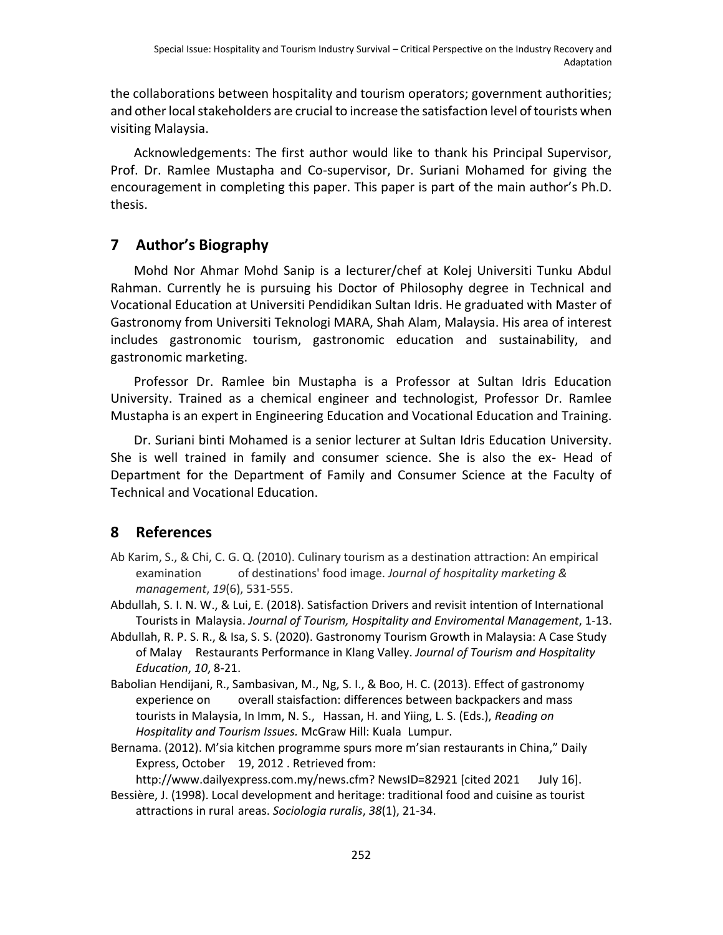the collaborations between hospitality and tourism operators; government authorities; and other local stakeholders are crucial to increase the satisfaction level of tourists when visiting Malaysia.

Acknowledgements: The first author would like to thank his Principal Supervisor, Prof. Dr. Ramlee Mustapha and Co-supervisor, Dr. Suriani Mohamed for giving the encouragement in completing this paper. This paper is part of the main author's Ph.D. thesis.

# **7 Author's Biography**

Mohd Nor Ahmar Mohd Sanip is a lecturer/chef at Kolej Universiti Tunku Abdul Rahman. Currently he is pursuing his Doctor of Philosophy degree in Technical and Vocational Education at Universiti Pendidikan Sultan Idris. He graduated with Master of Gastronomy from Universiti Teknologi MARA, Shah Alam, Malaysia. His area of interest includes gastronomic tourism, gastronomic education and sustainability, and gastronomic marketing.

Professor Dr. Ramlee bin Mustapha is a Professor at Sultan Idris Education University. Trained as a chemical engineer and technologist, Professor Dr. Ramlee Mustapha is an expert in Engineering Education and Vocational Education and Training.

Dr. Suriani binti Mohamed is a senior lecturer at Sultan Idris Education University. She is well trained in family and consumer science. She is also the ex- Head of Department for the Department of Family and Consumer Science at the Faculty of Technical and Vocational Education.

# **8 References**

- Ab Karim, S., & Chi, C. G. Q. (2010). Culinary tourism as a destination attraction: An empirical examination of destinations' food image. *Journal of hospitality marketing & management*, *19*(6), 531-555.
- Abdullah, S. I. N. W., & Lui, E. (2018). Satisfaction Drivers and revisit intention of International Tourists in Malaysia. *Journal of Tourism, Hospitality and Enviromental Management*, 1-13.
- Abdullah, R. P. S. R., & Isa, S. S. (2020). Gastronomy Tourism Growth in Malaysia: A Case Study of Malay Restaurants Performance in Klang Valley. *Journal of Tourism and Hospitality Education*, *10*, 8-21.
- Babolian Hendijani, R., Sambasivan, M., Ng, S. I., & Boo, H. C. (2013). Effect of gastronomy experience on overall staisfaction: differences between backpackers and mass tourists in Malaysia, In Imm, N. S., Hassan, H. and Yiing, L. S. (Eds.), *Reading on Hospitality and Tourism Issues.* McGraw Hill: Kuala Lumpur.
- Bernama. (2012). M'sia kitchen programme spurs more m'sian restaurants in China," Daily Express, October 19, 2012 . Retrieved from:

http://www.dailyexpress.com.my/news.cfm? NewsID=82921 [cited 2021 July 16]. Bessière, J. (1998). Local development and heritage: traditional food and cuisine as tourist attractions in rural areas. *Sociologia ruralis*, *38*(1), 21-34.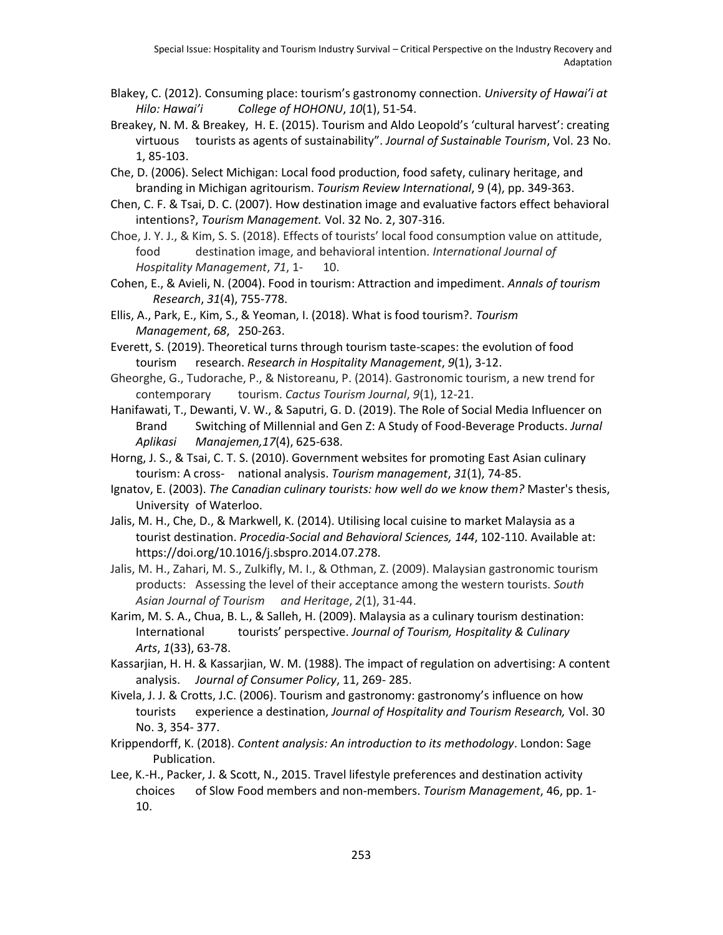- Blakey, C. (2012). Consuming place: tourism's gastronomy connection. *University of Hawai'i at Hilo: Hawai'i College of HOHONU*, *10*(1), 51-54.
- Breakey, N. M. & Breakey, H. E. (2015). Tourism and Aldo Leopold's 'cultural harvest': creating virtuous tourists as agents of sustainability". *Journal of Sustainable Tourism*, Vol. 23 No. 1, 85-103.
- Che, D. (2006). Select Michigan: Local food production, food safety, culinary heritage, and branding in Michigan agritourism. *Tourism Review International*, 9 (4), pp. 349-363.
- Chen, C. F. & Tsai, D. C. (2007). How destination image and evaluative factors effect behavioral intentions?, *Tourism Management.* Vol. 32 No. 2, 307-316.
- Choe, J. Y. J., & Kim, S. S. (2018). Effects of tourists' local food consumption value on attitude, food destination image, and behavioral intention. *International Journal of Hospitality Management*, *71*, 1- 10.
- Cohen, E., & Avieli, N. (2004). Food in tourism: Attraction and impediment. *Annals of tourism Research*, *31*(4), 755-778.
- Ellis, A., Park, E., Kim, S., & Yeoman, I. (2018). What is food tourism?. *Tourism Management*, *68*, 250-263.
- Everett, S. (2019). Theoretical turns through tourism taste-scapes: the evolution of food tourism research. *Research in Hospitality Management*, *9*(1), 3-12.
- Gheorghe, G., Tudorache, P., & Nistoreanu, P. (2014). Gastronomic tourism, a new trend for contemporary tourism. *Cactus Tourism Journal*, *9*(1), 12-21.
- Hanifawati, T., Dewanti, V. W., & Saputri, G. D. (2019). The Role of Social Media Influencer on Brand Switching of Millennial and Gen Z: A Study of Food-Beverage Products. *Jurnal Aplikasi Manajemen,17*(4), 625-638.
- Horng, J. S., & Tsai, C. T. S. (2010). Government websites for promoting East Asian culinary tourism: A cross- national analysis. *Tourism management*, *31*(1), 74-85.
- Ignatov, E. (2003). *The Canadian culinary tourists: how well do we know them?* Master's thesis, University of Waterloo.
- Jalis, M. H., Che, D., & Markwell, K. (2014). Utilising local cuisine to market Malaysia as a tourist destination. *Procedia-Social and Behavioral Sciences, 144*, 102-110. Available at: https://doi.org/10.1016/j.sbspro.2014.07.278.
- Jalis, M. H., Zahari, M. S., Zulkifly, M. I., & Othman, Z. (2009). Malaysian gastronomic tourism products: Assessing the level of their acceptance among the western tourists. *South Asian Journal of Tourism and Heritage*, *2*(1), 31-44.
- Karim, M. S. A., Chua, B. L., & Salleh, H. (2009). Malaysia as a culinary tourism destination: International tourists' perspective. *Journal of Tourism, Hospitality & Culinary Arts*, *1*(33), 63-78.
- Kassarjian, H. H. & Kassarjian, W. M. (1988). The impact of regulation on advertising: A content analysis. *Journal of Consumer Policy*, 11, 269- 285.
- Kivela, J. J. & Crotts, J.C. (2006). Tourism and gastronomy: gastronomy's influence on how tourists experience a destination, *Journal of Hospitality and Tourism Research,* Vol. 30 No. 3, 354- 377.
- Krippendorff, K. (2018). *Content analysis: An introduction to its methodology*. London: Sage Publication.
- Lee, K.-H., Packer, J. & Scott, N., 2015. Travel lifestyle preferences and destination activity choices of Slow Food members and non-members. *Tourism Management*, 46, pp. 1- 10.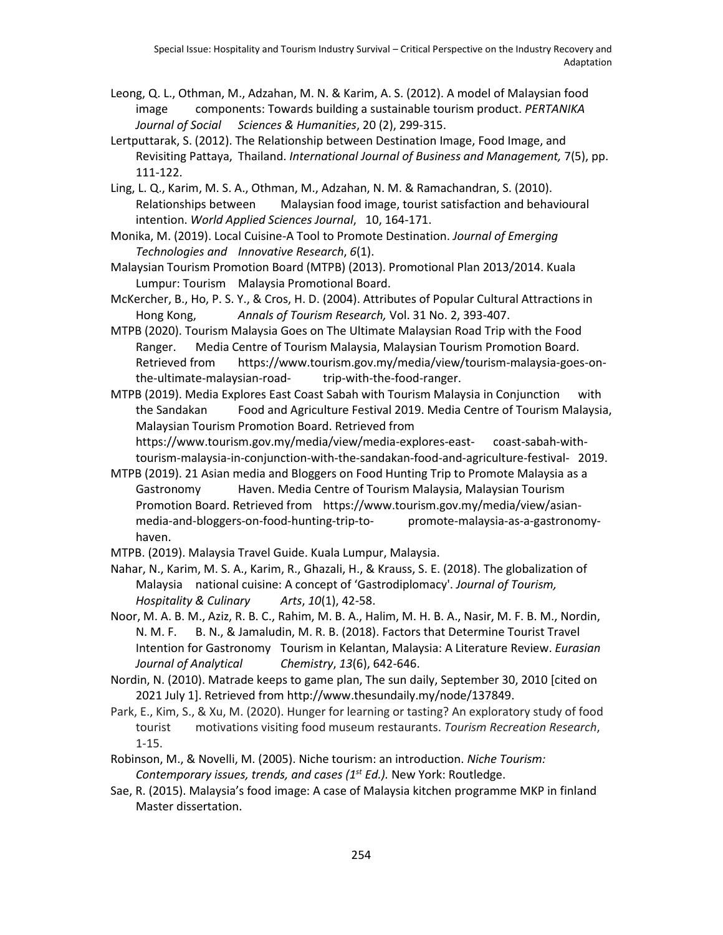- Leong, Q. L., Othman, M., Adzahan, M. N. & Karim, A. S. (2012). A model of Malaysian food image components: Towards building a sustainable tourism product. *PERTANIKA Journal of Social Sciences & Humanities*, 20 (2), 299-315.
- Lertputtarak, S. (2012). The Relationship between Destination Image, Food Image, and Revisiting Pattaya, Thailand. *International Journal of Business and Management,* 7(5), pp. 111-122.
- Ling, L. Q., Karim, M. S. A., Othman, M., Adzahan, N. M. & Ramachandran, S. (2010). Relationships between Malaysian food image, tourist satisfaction and behavioural intention. *World Applied Sciences Journal*, 10, 164-171.
- Monika, M. (2019). Local Cuisine-A Tool to Promote Destination. *Journal of Emerging Technologies and Innovative Research*, *6*(1).
- Malaysian Tourism Promotion Board (MTPB) (2013). Promotional Plan 2013/2014. Kuala Lumpur: Tourism Malaysia Promotional Board.
- McKercher, B., Ho, P. S. Y., & Cros, H. D. (2004). Attributes of Popular Cultural Attractions in Hong Kong, *Annals of Tourism Research,* Vol. 31 No. 2, 393-407.
- MTPB (2020). Tourism Malaysia Goes on The Ultimate Malaysian Road Trip with the Food Ranger. Media Centre of Tourism Malaysia, Malaysian Tourism Promotion Board. Retrieved from https://www.tourism.gov.my/media/view/tourism-malaysia-goes-onthe-ultimate-malaysian-road- trip-with-the-food-ranger.
- MTPB (2019). Media Explores East Coast Sabah with Tourism Malaysia in Conjunction with the Sandakan Food and Agriculture Festival 2019. Media Centre of Tourism Malaysia, Malaysian Tourism Promotion Board. Retrieved from https://www.tourism.gov.my/media/view/media-explores-east- coast-sabah-withtourism-malaysia-in-conjunction-with-the-sandakan-food-and-agriculture-festival- 2019.
- MTPB (2019). 21 Asian media and Bloggers on Food Hunting Trip to Promote Malaysia as a Gastronomy Haven. Media Centre of Tourism Malaysia, Malaysian Tourism Promotion Board. Retrieved from https://www.tourism.gov.my/media/view/asianmedia-and-bloggers-on-food-hunting-trip-to- promote-malaysia-as-a-gastronomyhaven.
- MTPB. (2019). Malaysia Travel Guide. Kuala Lumpur, Malaysia.
- Nahar, N., Karim, M. S. A., Karim, R., Ghazali, H., & Krauss, S. E. (2018). The globalization of Malaysia national cuisine: A concept of 'Gastrodiplomacy'. *Journal of Tourism, Hospitality & Culinary Arts*, *10*(1), 42-58.
- Noor, M. A. B. M., Aziz, R. B. C., Rahim, M. B. A., Halim, M. H. B. A., Nasir, M. F. B. M., Nordin, N. M. F. B. N., & Jamaludin, M. R. B. (2018). Factors that Determine Tourist Travel Intention for Gastronomy Tourism in Kelantan, Malaysia: A Literature Review. *Eurasian Journal of Analytical Chemistry*, *13*(6), 642-646.
- Nordin, N. (2010). Matrade keeps to game plan, The sun daily, September 30, 2010 [cited on 2021 July 1]. Retrieved from http://www.thesundaily.my/node/137849.
- Park, E., Kim, S., & Xu, M. (2020). Hunger for learning or tasting? An exploratory study of food tourist motivations visiting food museum restaurants. *Tourism Recreation Research*, 1-15.
- Robinson, M., & Novelli, M. (2005). Niche tourism: an introduction. *Niche Tourism: Contemporary issues, trends, and cases (1st Ed.).* New York: Routledge.
- Sae, R. (2015). Malaysia's food image: A case of Malaysia kitchen programme MKP in finland Master dissertation.